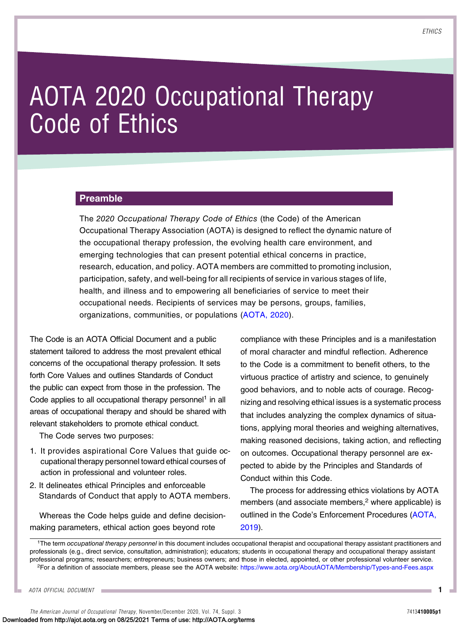# AOTA 2020 Occupational Therapy Code of Ethics

#### Preamble

The 2020 Occupational Therapy Code of Ethics (the Code) of the American Occupational Therapy Association (AOTA) is designed to reflect the dynamic nature of the occupational therapy profession, the evolving health care environment, and emerging technologies that can present potential ethical concerns in practice, research, education, and policy. AOTA members are committed to promoting inclusion, participation, safety, and well-being for all recipients of service in various stages of life, health, and illness and to empowering all beneficiaries of service to meet their occupational needs. Recipients of services may be persons, groups, families, organizations, communities, or populations ([AOTA, 2020\)](#page-9-0).

The Code is an AOTA Official Document and a public statement tailored to address the most prevalent ethical concerns of the occupational therapy profession. It sets forth Core Values and outlines Standards of Conduct the public can expect from those in the profession. The Code applies to all occupational therapy personnel<sup>1</sup> in all areas of occupational therapy and should be shared with relevant stakeholders to promote ethical conduct.

The Code serves two purposes:

- 1. It provides aspirational Core Values that guide occupational therapy personnel toward ethical courses of action in professional and volunteer roles.
- 2. It delineates ethical Principles and enforceable Standards of Conduct that apply to AOTA members.

Whereas the Code helps guide and define decisionmaking parameters, ethical action goes beyond rote

compliance with these Principles and is a manifestation of moral character and mindful reflection. Adherence to the Code is a commitment to benefit others, to the virtuous practice of artistry and science, to genuinely good behaviors, and to noble acts of courage. Recognizing and resolving ethical issues is a systematic process that includes analyzing the complex dynamics of situations, applying moral theories and weighing alternatives, making reasoned decisions, taking action, and reflecting on outcomes. Occupational therapy personnel are expected to abide by the Principles and Standards of Conduct within this Code.

The process for addressing ethics violations by AOTA members (and associate members, $2$  where applicable) is outlined in the Code's Enforcement Procedures [\(AOTA,](#page-9-1) [2019\)](#page-9-1).

<sup>1</sup>The term occupational therapy personnel in this document includes occupational therapist and occupational therapy assistant practitioners and professionals (e.g., direct service, consultation, administration); educators; students in occupational therapy and occupational therapy assistant professional programs; researchers; entrepreneurs; business owners; and those in elected, appointed, or other professional volunteer service. 2For a definition of associate members, please see the AOTA website: <https://www.aota.org/AboutAOTA/Membership/Types-and-Fees.aspx>

AOTA OFFICIAL DOCUMENT

The American Journal of Occupational Therapy, November/December 2020, Vol. 74, Suppl. 3 7413410005p1 Downloaded from http://ajot.aota.org on 08/25/2021 Terms of use: http://AOTA.org/terms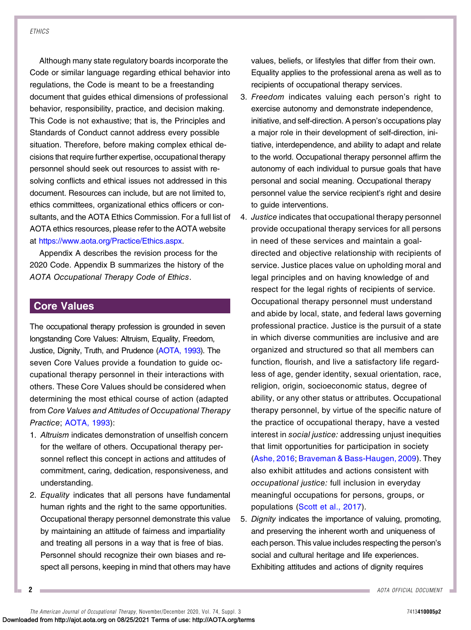Although many state regulatory boards incorporate the Code or similar language regarding ethical behavior into regulations, the Code is meant to be a freestanding document that guides ethical dimensions of professional behavior, responsibility, practice, and decision making. This Code is not exhaustive; that is, the Principles and Standards of Conduct cannot address every possible situation. Therefore, before making complex ethical decisions that require further expertise, occupational therapy personnel should seek out resources to assist with resolving conflicts and ethical issues not addressed in this document. Resources can include, but are not limited to, ethics committees, organizational ethics officers or consultants, and the AOTA Ethics Commission. For a full list of AOTA ethics resources, please refer to the AOTA website at <https://www.aota.org/Practice/Ethics.aspx>.

Appendix A describes the revision process for the 2020 Code. Appendix B summarizes the history of the AOTA Occupational Therapy Code of Ethics.

# Core Values

The occupational therapy profession is grounded in seven longstanding Core Values: Altruism, Equality, Freedom, Justice, Dignity, Truth, and Prudence [\(AOTA, 1993\)](#page-9-2). The seven Core Values provide a foundation to guide occupational therapy personnel in their interactions with others. These Core Values should be considered when determining the most ethical course of action (adapted from Core Values and Attitudes of Occupational Therapy Practice; [AOTA, 1993\)](#page-9-2):

- 1. Altruism indicates demonstration of unselfish concern for the welfare of others. Occupational therapy personnel reflect this concept in actions and attitudes of commitment, caring, dedication, responsiveness, and understanding.
- 2. Equality indicates that all persons have fundamental human rights and the right to the same opportunities. Occupational therapy personnel demonstrate this value by maintaining an attitude of fairness and impartiality and treating all persons in a way that is free of bias. Personnel should recognize their own biases and respect all persons, keeping in mind that others may have

values, beliefs, or lifestyles that differ from their own. Equality applies to the professional arena as well as to recipients of occupational therapy services.

- 3. Freedom indicates valuing each person's right to exercise autonomy and demonstrate independence, initiative, and self-direction. A person's occupations play a major role in their development of self-direction, initiative, interdependence, and ability to adapt and relate to the world. Occupational therapy personnel affirm the autonomy of each individual to pursue goals that have personal and social meaning. Occupational therapy personnel value the service recipient's right and desire to guide interventions.
- 4. Justice indicates that occupational therapy personnel provide occupational therapy services for all persons in need of these services and maintain a goaldirected and objective relationship with recipients of service. Justice places value on upholding moral and legal principles and on having knowledge of and respect for the legal rights of recipients of service. Occupational therapy personnel must understand and abide by local, state, and federal laws governing professional practice. Justice is the pursuit of a state in which diverse communities are inclusive and are organized and structured so that all members can function, flourish, and live a satisfactory life regardless of age, gender identity, sexual orientation, race, religion, origin, socioeconomic status, degree of ability, or any other status or attributes. Occupational therapy personnel, by virtue of the specific nature of the practice of occupational therapy, have a vested interest in social justice: addressing unjust inequities that limit opportunities for participation in society [\(Ashe, 2016](#page-9-3); [Braveman & Bass-Haugen, 2009](#page-9-4)). They also exhibit attitudes and actions consistent with occupational justice: full inclusion in everyday meaningful occupations for persons, groups, or populations ([Scott et al., 2017](#page-9-5)).
- 5. Dignity indicates the importance of valuing, promoting, and preserving the inherent worth and uniqueness of each person. This value includes respecting the person's social and cultural heritage and life experiences. Exhibiting attitudes and actions of dignity requires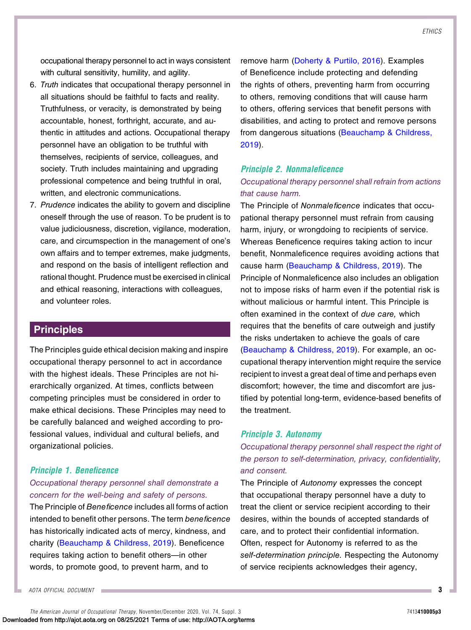occupational therapy personnel to act in ways consistent with cultural sensitivity, humility, and agility.

- 6. Truth indicates that occupational therapy personnel in all situations should be faithful to facts and reality. Truthfulness, or veracity, is demonstrated by being accountable, honest, forthright, accurate, and authentic in attitudes and actions. Occupational therapy personnel have an obligation to be truthful with themselves, recipients of service, colleagues, and society. Truth includes maintaining and upgrading professional competence and being truthful in oral, written, and electronic communications.
- 7. Prudence indicates the ability to govern and discipline oneself through the use of reason. To be prudent is to value judiciousness, discretion, vigilance, moderation, care, and circumspection in the management of one's own affairs and to temper extremes, make judgments, and respond on the basis of intelligent reflection and rational thought. Prudence must be exercised in clinical and ethical reasoning, interactions with colleagues, and volunteer roles.

## **Principles**

The Principles guide ethical decision making and inspire occupational therapy personnel to act in accordance with the highest ideals. These Principles are not hierarchically organized. At times, conflicts between competing principles must be considered in order to make ethical decisions. These Principles may need to be carefully balanced and weighed according to professional values, individual and cultural beliefs, and organizational policies.

#### Principle 1. Beneficence

#### Occupational therapy personnel shall demonstrate a concern for the well-being and safety of persons.

The Principle of Beneficence includes all forms of action intended to benefit other persons. The term beneficence has historically indicated acts of mercy, kindness, and charity ([Beauchamp & Childress, 2019\)](#page-9-6). Beneficence requires taking action to benefit others—in other words, to promote good, to prevent harm, and to

remove harm ([Doherty & Purtilo, 2016\)](#page-9-7). Examples of Beneficence include protecting and defending the rights of others, preventing harm from occurring to others, removing conditions that will cause harm to others, offering services that benefit persons with disabilities, and acting to protect and remove persons from dangerous situations ([Beauchamp & Childress,](#page-9-6) [2019](#page-9-6)).

# Principle 2. Nonmaleficence

### Occupational therapy personnel shall refrain from actions that cause harm.

The Principle of Nonmaleficence indicates that occupational therapy personnel must refrain from causing harm, injury, or wrongdoing to recipients of service. Whereas Beneficence requires taking action to incur benefit, Nonmaleficence requires avoiding actions that cause harm ([Beauchamp & Childress, 2019\)](#page-9-6). The Principle of Nonmaleficence also includes an obligation not to impose risks of harm even if the potential risk is without malicious or harmful intent. This Principle is often examined in the context of due care, which requires that the benefits of care outweigh and justify the risks undertaken to achieve the goals of care ([Beauchamp & Childress, 2019\)](#page-9-6). For example, an occupational therapy intervention might require the service recipient to invest a great deal of time and perhaps even discomfort; however, the time and discomfort are justified by potential long-term, evidence-based benefits of the treatment.

#### Principle 3. Autonomy

Occupational therapy personnel shall respect the right of the person to self-determination, privacy, confidentiality, and consent.

The Principle of Autonomy expresses the concept that occupational therapy personnel have a duty to treat the client or service recipient according to their desires, within the bounds of accepted standards of care, and to protect their confidential information. Often, respect for Autonomy is referred to as the self-determination principle. Respecting the Autonomy of service recipients acknowledges their agency,

AOTA OFFICIAL DOCUMENT

The American Journal of Occupational Therapy, November/December 2020, Vol. 74, Suppl. 3 7413410005p3 Downloaded from http://ajot.aota.org on 08/25/2021 Terms of use: http://AOTA.org/terms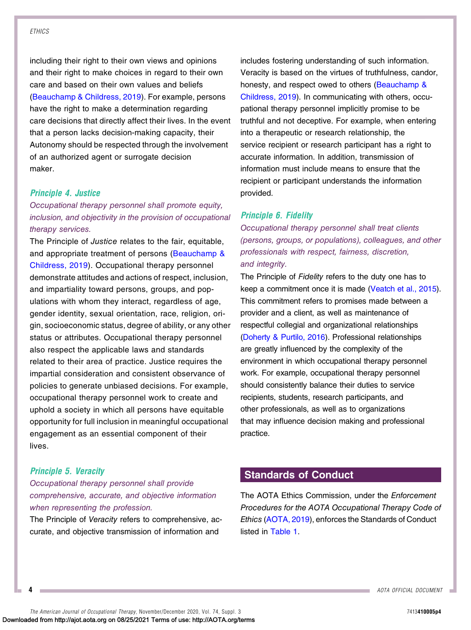including their right to their own views and opinions and their right to make choices in regard to their own care and based on their own values and beliefs [\(Beauchamp & Childress, 2019](#page-9-6)). For example, persons have the right to make a determination regarding care decisions that directly affect their lives. In the event that a person lacks decision-making capacity, their Autonomy should be respected through the involvement of an authorized agent or surrogate decision maker.

#### Principle 4. Justice

# Occupational therapy personnel shall promote equity, inclusion, and objectivity in the provision of occupational therapy services.

The Principle of Justice relates to the fair, equitable, and appropriate treatment of persons ([Beauchamp &](#page-9-6) [Childress, 2019](#page-9-6)). Occupational therapy personnel demonstrate attitudes and actions of respect, inclusion, and impartiality toward persons, groups, and populations with whom they interact, regardless of age, gender identity, sexual orientation, race, religion, origin, socioeconomic status, degree of ability, or any other status or attributes. Occupational therapy personnel also respect the applicable laws and standards related to their area of practice. Justice requires the impartial consideration and consistent observance of policies to generate unbiased decisions. For example, occupational therapy personnel work to create and uphold a society in which all persons have equitable opportunity for full inclusion in meaningful occupational engagement as an essential component of their lives.

#### Principle 5. Veracity

## Occupational therapy personnel shall provide comprehensive, accurate, and objective information when representing the profession.

The Principle of Veracity refers to comprehensive, accurate, and objective transmission of information and

includes fostering understanding of such information. Veracity is based on the virtues of truthfulness, candor, honesty, and respect owed to others ([Beauchamp &](#page-9-6) [Childress, 2019](#page-9-6)). In communicating with others, occupational therapy personnel implicitly promise to be truthful and not deceptive. For example, when entering into a therapeutic or research relationship, the service recipient or research participant has a right to accurate information. In addition, transmission of information must include means to ensure that the recipient or participant understands the information provided.

#### Principle 6. Fidelity

Occupational therapy personnel shall treat clients (persons, groups, or populations), colleagues, and other professionals with respect, fairness, discretion, and integrity.

The Principle of Fidelity refers to the duty one has to keep a commitment once it is made [\(Veatch et al., 2015](#page-9-8)). This commitment refers to promises made between a provider and a client, as well as maintenance of respectful collegial and organizational relationships ([Doherty & Purtilo, 2016\)](#page-9-7). Professional relationships are greatly influenced by the complexity of the environment in which occupational therapy personnel work. For example, occupational therapy personnel should consistently balance their duties to service recipients, students, research participants, and other professionals, as well as to organizations that may influence decision making and professional practice.

# Standards of Conduct

The AOTA Ethics Commission, under the Enforcement Procedures for the AOTA Occupational Therapy Code of Ethics ([AOTA, 2019\)](#page-9-1), enforces the Standards of Conduct listed in [Table 1.](#page-4-0)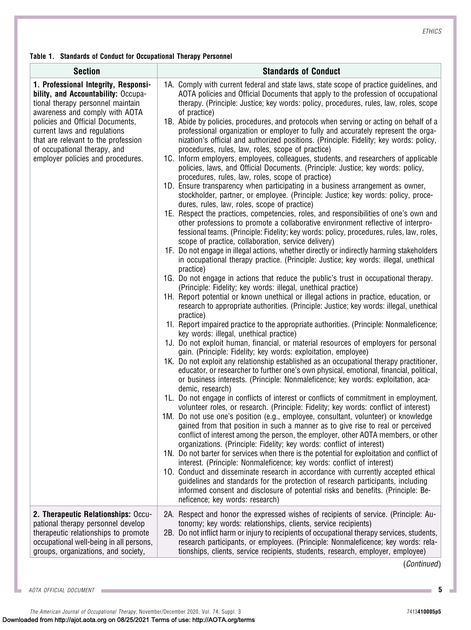<span id="page-4-0"></span>Table 1. Standards of Conduct for Occupational Therapy Personnel

| <b>Section</b>                                                                                                                                                                                                                                                                                                                     | <b>Standards of Conduct</b>                                                                                                                                                                                                                                                                                                                                                                                                                                                                                                                                                                                                                                                                                                                                                                                                                                                                                                                                                                                                                                                                                                                                                                                                                                                                                                                                                                                                                                                                                                                                                                                                                                                                                                                                                                                                                                                                                                                                                                                                                                                                                                                                                                                                                                                                                                                                                                                                                                                                                                                                                                                                                                                                                                                                                                                                                                                                                                                                                                                                                                                                                                                                                                                                                                                                                                                                                                                                                                                                                                                                            |
|------------------------------------------------------------------------------------------------------------------------------------------------------------------------------------------------------------------------------------------------------------------------------------------------------------------------------------|------------------------------------------------------------------------------------------------------------------------------------------------------------------------------------------------------------------------------------------------------------------------------------------------------------------------------------------------------------------------------------------------------------------------------------------------------------------------------------------------------------------------------------------------------------------------------------------------------------------------------------------------------------------------------------------------------------------------------------------------------------------------------------------------------------------------------------------------------------------------------------------------------------------------------------------------------------------------------------------------------------------------------------------------------------------------------------------------------------------------------------------------------------------------------------------------------------------------------------------------------------------------------------------------------------------------------------------------------------------------------------------------------------------------------------------------------------------------------------------------------------------------------------------------------------------------------------------------------------------------------------------------------------------------------------------------------------------------------------------------------------------------------------------------------------------------------------------------------------------------------------------------------------------------------------------------------------------------------------------------------------------------------------------------------------------------------------------------------------------------------------------------------------------------------------------------------------------------------------------------------------------------------------------------------------------------------------------------------------------------------------------------------------------------------------------------------------------------------------------------------------------------------------------------------------------------------------------------------------------------------------------------------------------------------------------------------------------------------------------------------------------------------------------------------------------------------------------------------------------------------------------------------------------------------------------------------------------------------------------------------------------------------------------------------------------------------------------------------------------------------------------------------------------------------------------------------------------------------------------------------------------------------------------------------------------------------------------------------------------------------------------------------------------------------------------------------------------------------------------------------------------------------------------------------------------------|
| 1. Professional Integrity, Responsi-<br>bility, and Accountability: Occupa-<br>tional therapy personnel maintain<br>awareness and comply with AOTA<br>policies and Official Documents,<br>current laws and regulations<br>that are relevant to the profession<br>of occupational therapy, and<br>employer policies and procedures. | 1A. Comply with current federal and state laws, state scope of practice guidelines, and<br>AOTA policies and Official Documents that apply to the profession of occupational<br>therapy. (Principle: Justice; key words: policy, procedures, rules, law, roles, scope<br>of practice)<br>1B. Abide by policies, procedures, and protocols when serving or acting on behalf of a<br>professional organization or employer to fully and accurately represent the orga-<br>nization's official and authorized positions. (Principle: Fidelity; key words: policy,<br>procedures, rules, law, roles, scope of practice)<br>1C. Inform employers, employees, colleagues, students, and researchers of applicable<br>policies, laws, and Official Documents. (Principle: Justice; key words: policy,<br>procedures, rules, law, roles, scope of practice)<br>1D. Ensure transparency when participating in a business arrangement as owner,<br>stockholder, partner, or employee. (Principle: Justice; key words: policy, proce-<br>dures, rules, law, roles, scope of practice)<br>1E. Respect the practices, competencies, roles, and responsibilities of one's own and<br>other professions to promote a collaborative environment reflective of interpro-<br>fessional teams. (Principle: Fidelity; key words: policy, procedures, rules, law, roles,<br>scope of practice, collaboration, service delivery)<br>1F. Do not engage in illegal actions, whether directly or indirectly harming stakeholders<br>in occupational therapy practice. (Principle: Justice; key words: illegal, unethical<br>practice)<br>1G. Do not engage in actions that reduce the public's trust in occupational therapy.<br>(Principle: Fidelity; key words: illegal, unethical practice)<br>1H. Report potential or known unethical or illegal actions in practice, education, or<br>research to appropriate authorities. (Principle: Justice; key words: illegal, unethical<br>practice)<br>11. Report impaired practice to the appropriate authorities. (Principle: Nonmaleficence;<br>key words: illegal, unethical practice)<br>1J. Do not exploit human, financial, or material resources of employers for personal<br>gain. (Principle: Fidelity; key words: exploitation, employee)<br>1K. Do not exploit any relationship established as an occupational therapy practitioner,<br>educator, or researcher to further one's own physical, emotional, financial, political,<br>or business interests. (Principle: Nonmaleficence; key words: exploitation, aca-<br>demic, research)<br>1L. Do not engage in conflicts of interest or conflicts of commitment in employment,<br>volunteer roles, or research. (Principle: Fidelity; key words: conflict of interest)<br>1M. Do not use one's position (e.g., employee, consultant, volunteer) or knowledge<br>gained from that position in such a manner as to give rise to real or perceived<br>conflict of interest among the person, the employer, other AOTA members, or other<br>organizations. (Principle: Fidelity; key words: conflict of interest)<br>1N. Do not barter for services when there is the potential for exploitation and conflict of<br>interest. (Principle: Nonmaleficence; key words: conflict of interest)<br>10. Conduct and disseminate research in accordance with currently accepted ethical<br>guidelines and standards for the protection of research participants, including<br>informed consent and disclosure of potential risks and benefits. (Principle: Be-<br>neficence; key words: research) |
| 2. Therapeutic Relationships: Occu-<br>pational therapy personnel develop<br>therapeutic relationships to promote<br>occupational well-being in all persons,<br>groups, organizations, and society,                                                                                                                                | 2A. Respect and honor the expressed wishes of recipients of service. (Principle: Au-<br>tonomy; key words: relationships, clients, service recipients)<br>2B. Do not inflict harm or injury to recipients of occupational therapy services, students,<br>research participants, or employees. (Principle: Nonmaleficence; key words: rela-<br>tionships, clients, service recipients, students, research, employer, employee)                                                                                                                                                                                                                                                                                                                                                                                                                                                                                                                                                                                                                                                                                                                                                                                                                                                                                                                                                                                                                                                                                                                                                                                                                                                                                                                                                                                                                                                                                                                                                                                                                                                                                                                                                                                                                                                                                                                                                                                                                                                                                                                                                                                                                                                                                                                                                                                                                                                                                                                                                                                                                                                                                                                                                                                                                                                                                                                                                                                                                                                                                                                                          |

(Continued)

AOTA OFFICIAL DOCUMENT **5 The State**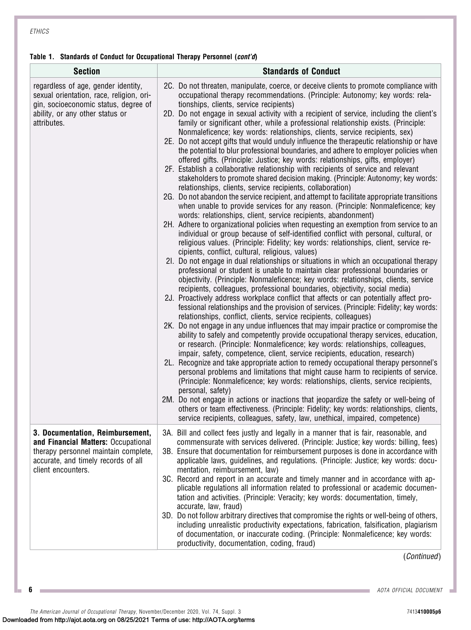#### Table 1. Standards of Conduct for Occupational Therapy Personnel (cont'd)

| <b>Section</b>                                                                                                                                                               | <b>Standards of Conduct</b>                                                                                                                                                                                                                                                                                                                                                                                                                                                                                                                                                                                                                                                                                                                                                                                                                                                                                                                                                                                                                                                                                                                                                                                                                                                                                                                                                                                                                                                                                                                                                                                                                                                                                                                                                                                                                                                                                                                                                                                                                                                                                                                                                                                                                                                                                                                                                                                                                                                                                                                                                                                                                                                                                                                                                                                                                                                                                                                                                                                                                                                                               |
|------------------------------------------------------------------------------------------------------------------------------------------------------------------------------|-----------------------------------------------------------------------------------------------------------------------------------------------------------------------------------------------------------------------------------------------------------------------------------------------------------------------------------------------------------------------------------------------------------------------------------------------------------------------------------------------------------------------------------------------------------------------------------------------------------------------------------------------------------------------------------------------------------------------------------------------------------------------------------------------------------------------------------------------------------------------------------------------------------------------------------------------------------------------------------------------------------------------------------------------------------------------------------------------------------------------------------------------------------------------------------------------------------------------------------------------------------------------------------------------------------------------------------------------------------------------------------------------------------------------------------------------------------------------------------------------------------------------------------------------------------------------------------------------------------------------------------------------------------------------------------------------------------------------------------------------------------------------------------------------------------------------------------------------------------------------------------------------------------------------------------------------------------------------------------------------------------------------------------------------------------------------------------------------------------------------------------------------------------------------------------------------------------------------------------------------------------------------------------------------------------------------------------------------------------------------------------------------------------------------------------------------------------------------------------------------------------------------------------------------------------------------------------------------------------------------------------------------------------------------------------------------------------------------------------------------------------------------------------------------------------------------------------------------------------------------------------------------------------------------------------------------------------------------------------------------------------------------------------------------------------------------------------------------------------|
| regardless of age, gender identity,<br>sexual orientation, race, religion, ori-<br>gin, socioeconomic status, degree of<br>ability, or any other status or<br>attributes.    | 2C. Do not threaten, manipulate, coerce, or deceive clients to promote compliance with<br>occupational therapy recommendations. (Principle: Autonomy; key words: rela-<br>tionships, clients, service recipients)<br>2D. Do not engage in sexual activity with a recipient of service, including the client's<br>family or significant other, while a professional relationship exists. (Principle:<br>Nonmaleficence; key words: relationships, clients, service recipients, sex)<br>2E. Do not accept gifts that would unduly influence the therapeutic relationship or have<br>the potential to blur professional boundaries, and adhere to employer policies when<br>offered gifts. (Principle: Justice; key words: relationships, gifts, employer)<br>2F. Establish a collaborative relationship with recipients of service and relevant<br>stakeholders to promote shared decision making. (Principle: Autonomy; key words:<br>relationships, clients, service recipients, collaboration)<br>2G. Do not abandon the service recipient, and attempt to facilitate appropriate transitions<br>when unable to provide services for any reason. (Principle: Nonmaleficence; key<br>words: relationships, client, service recipients, abandonment)<br>2H. Adhere to organizational policies when requesting an exemption from service to an<br>individual or group because of self-identified conflict with personal, cultural, or<br>religious values. (Principle: Fidelity; key words: relationships, client, service re-<br>cipients, conflict, cultural, religious, values)<br>21. Do not engage in dual relationships or situations in which an occupational therapy<br>professional or student is unable to maintain clear professional boundaries or<br>objectivity. (Principle: Nonmaleficence; key words: relationships, clients, service<br>recipients, colleagues, professional boundaries, objectivity, social media)<br>2J. Proactively address workplace conflict that affects or can potentially affect pro-<br>fessional relationships and the provision of services. (Principle: Fidelity; key words:<br>relationships, conflict, clients, service recipients, colleagues)<br>2K. Do not engage in any undue influences that may impair practice or compromise the<br>ability to safely and competently provide occupational therapy services, education,<br>or research. (Principle: Nonmaleficence; key words: relationships, colleagues,<br>impair, safety, competence, client, service recipients, education, research)<br>2L. Recognize and take appropriate action to remedy occupational therapy personnel's<br>personal problems and limitations that might cause harm to recipients of service.<br>(Principle: Nonmaleficence; key words: relationships, clients, service recipients,<br>personal, safety)<br>2M. Do not engage in actions or inactions that jeopardize the safety or well-being of<br>others or team effectiveness. (Principle: Fidelity; key words: relationships, clients,<br>service recipients, colleagues, safety, law, unethical, impaired, competence) |
| 3. Documentation, Reimbursement,<br>and Financial Matters: Occupational<br>therapy personnel maintain complete,<br>accurate, and timely records of all<br>client encounters. | 3A. Bill and collect fees justly and legally in a manner that is fair, reasonable, and<br>commensurate with services delivered. (Principle: Justice; key words: billing, fees)<br>3B. Ensure that documentation for reimbursement purposes is done in accordance with<br>applicable laws, guidelines, and regulations. (Principle: Justice; key words: docu-<br>mentation, reimbursement, law)<br>3C. Record and report in an accurate and timely manner and in accordance with ap-<br>plicable regulations all information related to professional or academic documen-<br>tation and activities. (Principle: Veracity; key words: documentation, timely,<br>accurate, law, fraud)<br>3D. Do not follow arbitrary directives that compromise the rights or well-being of others,<br>including unrealistic productivity expectations, fabrication, falsification, plagiarism<br>of documentation, or inaccurate coding. (Principle: Nonmaleficence; key words:<br>productivity, documentation, coding, fraud)                                                                                                                                                                                                                                                                                                                                                                                                                                                                                                                                                                                                                                                                                                                                                                                                                                                                                                                                                                                                                                                                                                                                                                                                                                                                                                                                                                                                                                                                                                                                                                                                                                                                                                                                                                                                                                                                                                                                                                                                                                                                                             |

(Continued)

**6** AOTA OFFICIAL DOCUMENT

The American Journal of Occupational Therapy, November/December 2020, Vol. 74, Suppl. 3 7413410005 7413410005p6 Downloaded from http://ajot.aota.org on 08/25/2021 Terms of use: http://AOTA.org/terms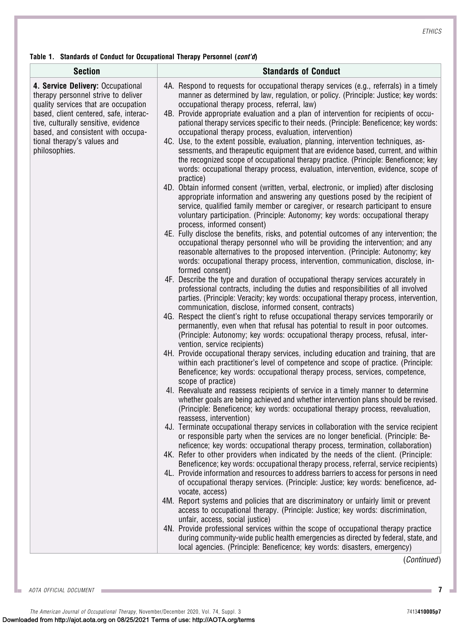Table 1. Standards of Conduct for Occupational Therapy Personnel (cont'd)

| <b>Section</b>                                                                                                                                                                                                                                                                           | <b>Standards of Conduct</b>                                                                                                                                                                                                                                                                                                                                                                                                                                                                                                                                                                                                                                                                                                                                                                                                                                                                                                                                                                                                                                                                                                                                                                                                                                                                                                                                                                                                                                                                                                                                                                                                                                                                                                                                                                                                                                                                                                                                                                                                                                                                                                                                                                                                                                                                                                                                                                                                                                                                                                                                                                                                                                                                                                                                                                                                                                                                                                                                                                                                                                                                                                                                                                                                                                                                                                                                                                                                                                                                                                                                                                                                                                                                                                                                         |
|------------------------------------------------------------------------------------------------------------------------------------------------------------------------------------------------------------------------------------------------------------------------------------------|---------------------------------------------------------------------------------------------------------------------------------------------------------------------------------------------------------------------------------------------------------------------------------------------------------------------------------------------------------------------------------------------------------------------------------------------------------------------------------------------------------------------------------------------------------------------------------------------------------------------------------------------------------------------------------------------------------------------------------------------------------------------------------------------------------------------------------------------------------------------------------------------------------------------------------------------------------------------------------------------------------------------------------------------------------------------------------------------------------------------------------------------------------------------------------------------------------------------------------------------------------------------------------------------------------------------------------------------------------------------------------------------------------------------------------------------------------------------------------------------------------------------------------------------------------------------------------------------------------------------------------------------------------------------------------------------------------------------------------------------------------------------------------------------------------------------------------------------------------------------------------------------------------------------------------------------------------------------------------------------------------------------------------------------------------------------------------------------------------------------------------------------------------------------------------------------------------------------------------------------------------------------------------------------------------------------------------------------------------------------------------------------------------------------------------------------------------------------------------------------------------------------------------------------------------------------------------------------------------------------------------------------------------------------------------------------------------------------------------------------------------------------------------------------------------------------------------------------------------------------------------------------------------------------------------------------------------------------------------------------------------------------------------------------------------------------------------------------------------------------------------------------------------------------------------------------------------------------------------------------------------------------------------------------------------------------------------------------------------------------------------------------------------------------------------------------------------------------------------------------------------------------------------------------------------------------------------------------------------------------------------------------------------------------------------------------------------------------------------------------------------------------|
| 4. Service Delivery: Occupational<br>therapy personnel strive to deliver<br>quality services that are occupation<br>based, client centered, safe, interac-<br>tive, culturally sensitive, evidence<br>based, and consistent with occupa-<br>tional therapy's values and<br>philosophies. | 4A. Respond to requests for occupational therapy services (e.g., referrals) in a timely<br>manner as determined by law, regulation, or policy. (Principle: Justice; key words:<br>occupational therapy process, referral, law)<br>4B. Provide appropriate evaluation and a plan of intervention for recipients of occu-<br>pational therapy services specific to their needs. (Principle: Beneficence; key words:<br>occupational therapy process, evaluation, intervention)<br>4C. Use, to the extent possible, evaluation, planning, intervention techniques, as-<br>sessments, and therapeutic equipment that are evidence based, current, and within<br>the recognized scope of occupational therapy practice. (Principle: Beneficence; key<br>words: occupational therapy process, evaluation, intervention, evidence, scope of<br>practice)<br>4D. Obtain informed consent (written, verbal, electronic, or implied) after disclosing<br>appropriate information and answering any questions posed by the recipient of<br>service, qualified family member or caregiver, or research participant to ensure<br>voluntary participation. (Principle: Autonomy; key words: occupational therapy<br>process, informed consent)<br>4E. Fully disclose the benefits, risks, and potential outcomes of any intervention; the<br>occupational therapy personnel who will be providing the intervention; and any<br>reasonable alternatives to the proposed intervention. (Principle: Autonomy; key<br>words: occupational therapy process, intervention, communication, disclose, in-<br>formed consent)<br>4F. Describe the type and duration of occupational therapy services accurately in<br>professional contracts, including the duties and responsibilities of all involved<br>parties. (Principle: Veracity; key words: occupational therapy process, intervention,<br>communication, disclose, informed consent, contracts)<br>4G. Respect the client's right to refuse occupational therapy services temporarily or<br>permanently, even when that refusal has potential to result in poor outcomes.<br>(Principle: Autonomy; key words: occupational therapy process, refusal, inter-<br>vention, service recipients)<br>4H. Provide occupational therapy services, including education and training, that are<br>within each practitioner's level of competence and scope of practice. (Principle:<br>Beneficence; key words: occupational therapy process, services, competence,<br>scope of practice)<br>41. Reevaluate and reassess recipients of service in a timely manner to determine<br>whether goals are being achieved and whether intervention plans should be revised.<br>(Principle: Beneficence; key words: occupational therapy process, reevaluation,<br>reassess, intervention)<br>4J. Terminate occupational therapy services in collaboration with the service recipient<br>or responsible party when the services are no longer beneficial. (Principle: Be-<br>neficence; key words: occupational therapy process, termination, collaboration)<br>4K. Refer to other providers when indicated by the needs of the client. (Principle:<br>Beneficence; key words: occupational therapy process, referral, service recipients)<br>4L. Provide information and resources to address barriers to access for persons in need<br>of occupational therapy services. (Principle: Justice; key words: beneficence, ad-<br>vocate, access)<br>4M. Report systems and policies that are discriminatory or unfairly limit or prevent<br>access to occupational therapy. (Principle: Justice; key words: discrimination,<br>unfair, access, social justice)<br>4N. Provide professional services within the scope of occupational therapy practice |

(Continued)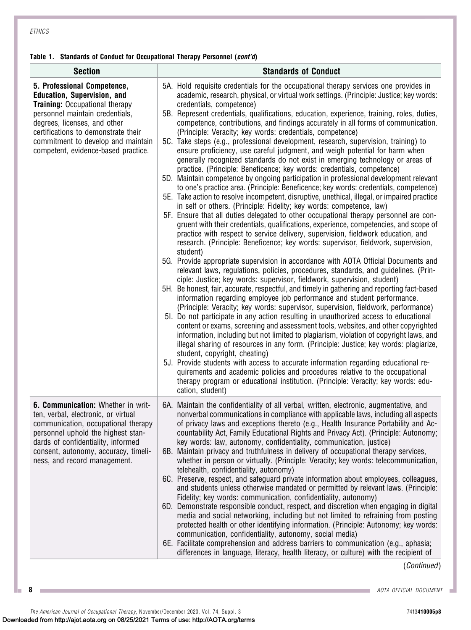#### Table 1. Standards of Conduct for Occupational Therapy Personnel (cont'd)

| <b>Section</b>                                                                                                                                                                                                                                                                                    | <b>Standards of Conduct</b>                                                                                                                                                                                                                                                                                                                                                                                                                                                                                                                                                                                                                                                                                                                                                                                                                                                                                                                                                                                                                                                                                                                                                                                                                                                                                                                                                                                                                                                                                                                                                                                                                                                                                                                                                                                                                                                                                                                                                                                                                                                                                                                                                                                                                                                                                                                                                                                                                                                                                                                                                                                                                                                                                                          |
|---------------------------------------------------------------------------------------------------------------------------------------------------------------------------------------------------------------------------------------------------------------------------------------------------|--------------------------------------------------------------------------------------------------------------------------------------------------------------------------------------------------------------------------------------------------------------------------------------------------------------------------------------------------------------------------------------------------------------------------------------------------------------------------------------------------------------------------------------------------------------------------------------------------------------------------------------------------------------------------------------------------------------------------------------------------------------------------------------------------------------------------------------------------------------------------------------------------------------------------------------------------------------------------------------------------------------------------------------------------------------------------------------------------------------------------------------------------------------------------------------------------------------------------------------------------------------------------------------------------------------------------------------------------------------------------------------------------------------------------------------------------------------------------------------------------------------------------------------------------------------------------------------------------------------------------------------------------------------------------------------------------------------------------------------------------------------------------------------------------------------------------------------------------------------------------------------------------------------------------------------------------------------------------------------------------------------------------------------------------------------------------------------------------------------------------------------------------------------------------------------------------------------------------------------------------------------------------------------------------------------------------------------------------------------------------------------------------------------------------------------------------------------------------------------------------------------------------------------------------------------------------------------------------------------------------------------------------------------------------------------------------------------------------------------|
| 5. Professional Competence,<br><b>Education, Supervision, and</b><br><b>Training: Occupational therapy</b><br>personnel maintain credentials,<br>degrees, licenses, and other<br>certifications to demonstrate their<br>commitment to develop and maintain<br>competent, evidence-based practice. | 5A. Hold requisite credentials for the occupational therapy services one provides in<br>academic, research, physical, or virtual work settings. (Principle: Justice; key words:<br>credentials, competence)<br>5B. Represent credentials, qualifications, education, experience, training, roles, duties,<br>competence, contributions, and findings accurately in all forms of communication.<br>(Principle: Veracity; key words: credentials, competence)<br>5C. Take steps (e.g., professional development, research, supervision, training) to<br>ensure proficiency, use careful judgment, and weigh potential for harm when<br>generally recognized standards do not exist in emerging technology or areas of<br>practice. (Principle: Beneficence; key words: credentials, competence)<br>5D. Maintain competence by ongoing participation in professional development relevant<br>to one's practice area. (Principle: Beneficence; key words: credentials, competence)<br>5E. Take action to resolve incompetent, disruptive, unethical, illegal, or impaired practice<br>in self or others. (Principle: Fidelity; key words: competence, law)<br>5F. Ensure that all duties delegated to other occupational therapy personnel are con-<br>gruent with their credentials, qualifications, experience, competencies, and scope of<br>practice with respect to service delivery, supervision, fieldwork education, and<br>research. (Principle: Beneficence; key words: supervisor, fieldwork, supervision,<br>student)<br>5G. Provide appropriate supervision in accordance with AOTA Official Documents and<br>relevant laws, regulations, policies, procedures, standards, and guidelines. (Prin-<br>ciple: Justice; key words: supervisor, fieldwork, supervision, student)<br>5H. Be honest, fair, accurate, respectful, and timely in gathering and reporting fact-based<br>information regarding employee job performance and student performance.<br>(Principle: Veracity; key words: supervisor, supervision, fieldwork, performance)<br>51. Do not participate in any action resulting in unauthorized access to educational<br>content or exams, screening and assessment tools, websites, and other copyrighted<br>information, including but not limited to plagiarism, violation of copyright laws, and<br>illegal sharing of resources in any form. (Principle: Justice; key words: plagiarize,<br>student, copyright, cheating)<br>5J. Provide students with access to accurate information regarding educational re-<br>quirements and academic policies and procedures relative to the occupational<br>therapy program or educational institution. (Principle: Veracity; key words: edu-<br>cation, student) |
| 6. Communication: Whether in writ-<br>ten, verbal, electronic, or virtual<br>communication, occupational therapy<br>personnel uphold the highest stan-<br>dards of confidentiality, informed<br>consent, autonomy, accuracy, timeli-<br>ness, and record management.                              | 6A. Maintain the confidentiality of all verbal, written, electronic, augmentative, and<br>nonverbal communications in compliance with applicable laws, including all aspects<br>of privacy laws and exceptions thereto (e.g., Health Insurance Portability and Ac-<br>countability Act, Family Educational Rights and Privacy Act). (Principle: Autonomy;<br>key words: law, autonomy, confidentiality, communication, justice)<br>6B. Maintain privacy and truthfulness in delivery of occupational therapy services,<br>whether in person or virtually. (Principle: Veracity; key words: telecommunication,<br>telehealth, confidentiality, autonomy)<br>6C. Preserve, respect, and safeguard private information about employees, colleagues,<br>and students unless otherwise mandated or permitted by relevant laws. (Principle:<br>Fidelity; key words: communication, confidentiality, autonomy)<br>6D. Demonstrate responsible conduct, respect, and discretion when engaging in digital<br>media and social networking, including but not limited to refraining from posting<br>protected health or other identifying information. (Principle: Autonomy; key words:<br>communication, confidentiality, autonomy, social media)<br>6E. Facilitate comprehension and address barriers to communication (e.g., aphasia;<br>differences in language, literacy, health literacy, or culture) with the recipient of                                                                                                                                                                                                                                                                                                                                                                                                                                                                                                                                                                                                                                                                                                                                                                                                                                                                                                                                                                                                                                                                                                                                                                                                                                                                                                               |

(Continued)

**8 AOTA OFFICIAL DOCUMENT** 

The American Journal of Occupational Therapy, November/December 2020, Vol. 74, Suppl. 3 7413410005 7413410005p8 Downloaded from http://ajot.aota.org on 08/25/2021 Terms of use: http://AOTA.org/terms

m.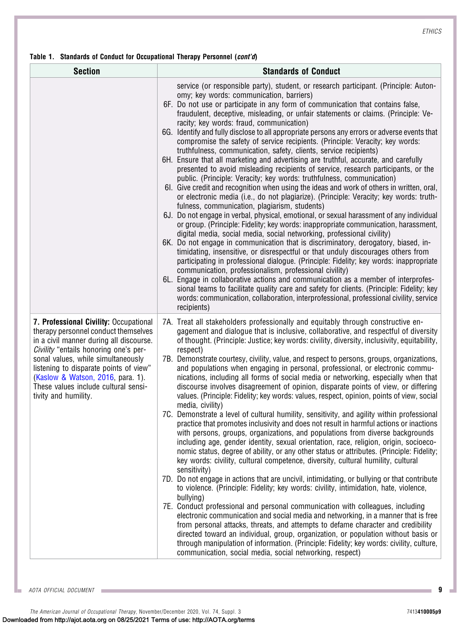#### Table 1. Standards of Conduct for Occupational Therapy Personnel (cont'd)

| <b>Section</b>                                                                                                                                                                                                                                                                                                                                          | <b>Standards of Conduct</b>                                                                                                                                                                                                                                                                                                                                                                                                                                                                                                                                                                                                                                                                                                                                                                                                                                                                                                                                                                                                                                                                                                                                                                                                                                                                                                                                                                                                                                                                                                                                                                                                                                                                                                                                                                                                                                                                                                                                                                                                                     |
|---------------------------------------------------------------------------------------------------------------------------------------------------------------------------------------------------------------------------------------------------------------------------------------------------------------------------------------------------------|-------------------------------------------------------------------------------------------------------------------------------------------------------------------------------------------------------------------------------------------------------------------------------------------------------------------------------------------------------------------------------------------------------------------------------------------------------------------------------------------------------------------------------------------------------------------------------------------------------------------------------------------------------------------------------------------------------------------------------------------------------------------------------------------------------------------------------------------------------------------------------------------------------------------------------------------------------------------------------------------------------------------------------------------------------------------------------------------------------------------------------------------------------------------------------------------------------------------------------------------------------------------------------------------------------------------------------------------------------------------------------------------------------------------------------------------------------------------------------------------------------------------------------------------------------------------------------------------------------------------------------------------------------------------------------------------------------------------------------------------------------------------------------------------------------------------------------------------------------------------------------------------------------------------------------------------------------------------------------------------------------------------------------------------------|
|                                                                                                                                                                                                                                                                                                                                                         | service (or responsible party), student, or research participant. (Principle: Auton-<br>omy; key words: communication, barriers)<br>6F. Do not use or participate in any form of communication that contains false,<br>fraudulent, deceptive, misleading, or unfair statements or claims. (Principle: Ve-<br>racity; key words: fraud, communication)<br>6G. Identify and fully disclose to all appropriate persons any errors or adverse events that<br>compromise the safety of service recipients. (Principle: Veracity; key words:<br>truthfulness, communication, safety, clients, service recipients)<br>6H. Ensure that all marketing and advertising are truthful, accurate, and carefully<br>presented to avoid misleading recipients of service, research participants, or the<br>public. (Principle: Veracity; key words: truthfulness, communication)<br>61. Give credit and recognition when using the ideas and work of others in written, oral,<br>or electronic media (i.e., do not plagiarize). (Principle: Veracity; key words: truth-<br>fulness, communication, plagiarism, students)<br>6J. Do not engage in verbal, physical, emotional, or sexual harassment of any individual<br>or group. (Principle: Fidelity; key words: inappropriate communication, harassment,<br>digital media, social media, social networking, professional civility)<br>6K. Do not engage in communication that is discriminatory, derogatory, biased, in-<br>timidating, insensitive, or disrespectful or that unduly discourages others from<br>participating in professional dialogue. (Principle: Fidelity; key words: inappropriate<br>communication, professionalism, professional civility)<br>6L. Engage in collaborative actions and communication as a member of interprofes-<br>sional teams to facilitate quality care and safety for clients. (Principle: Fidelity; key<br>words: communication, collaboration, interprofessional, professional civility, service<br>recipients)                                                 |
| 7. Professional Civility: Occupational<br>therapy personnel conduct themselves<br>in a civil manner during all discourse.<br>Civility "entails honoring one's per-<br>sonal values, while simultaneously<br>listening to disparate points of view"<br>(Kaslow & Watson, 2016, para. 1).<br>These values include cultural sensi-<br>tivity and humility. | 7A. Treat all stakeholders professionally and equitably through constructive en-<br>gagement and dialogue that is inclusive, collaborative, and respectful of diversity<br>of thought. (Principle: Justice; key words: civility, diversity, inclusivity, equitability,<br>respect)<br>7B. Demonstrate courtesy, civility, value, and respect to persons, groups, organizations,<br>and populations when engaging in personal, professional, or electronic commu-<br>nications, including all forms of social media or networking, especially when that<br>discourse involves disagreement of opinion, disparate points of view, or differing<br>values. (Principle: Fidelity; key words: values, respect, opinion, points of view, social<br>media, civility)<br>7C. Demonstrate a level of cultural humility, sensitivity, and agility within professional<br>practice that promotes inclusivity and does not result in harmful actions or inactions<br>with persons, groups, organizations, and populations from diverse backgrounds<br>including age, gender identity, sexual orientation, race, religion, origin, socioeco-<br>nomic status, degree of ability, or any other status or attributes. (Principle: Fidelity;<br>key words: civility, cultural competence, diversity, cultural humility, cultural<br>sensitivity)<br>7D. Do not engage in actions that are uncivil, intimidating, or bullying or that contribute<br>to violence. (Principle: Fidelity; key words: civility, intimidation, hate, violence,<br>bullying)<br>7E. Conduct professional and personal communication with colleagues, including<br>electronic communication and social media and networking, in a manner that is free<br>from personal attacks, threats, and attempts to defame character and credibility<br>directed toward an individual, group, organization, or population without basis or<br>through manipulation of information. (Principle: Fidelity; key words: civility, culture,<br>communication, social media, social networking, respect) |

L. AOTA OFFICIAL DOCUMENT **9**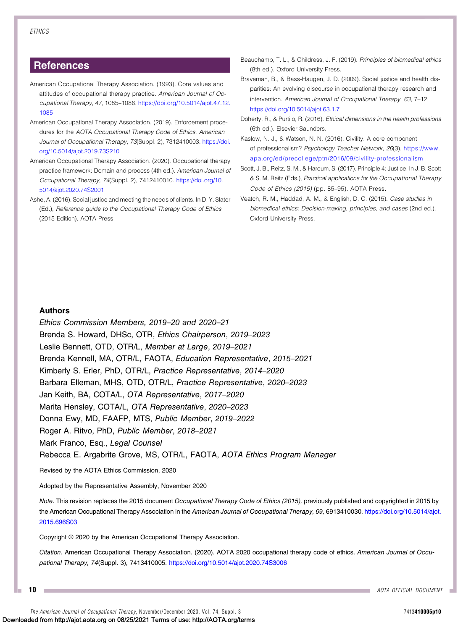#### **References**

- <span id="page-9-2"></span>American Occupational Therapy Association. (1993). Core values and attitudes of occupational therapy practice. American Journal of Occupational Therapy, 47, 1085–1086. [https://doi.org/10.5014/ajot.47.12.](https://doi.org/10.5014/ajot.47.12.1085) [1085](https://doi.org/10.5014/ajot.47.12.1085)
- <span id="page-9-1"></span>American Occupational Therapy Association. (2019). Enforcement procedures for the AOTA Occupational Therapy Code of Ethics. American Journal of Occupational Therapy, 73(Suppl. 2), 7312410003. [https://doi.](https://doi.org/10.5014/ajot.2019.73S210) [org/10.5014/ajot.2019.73S210](https://doi.org/10.5014/ajot.2019.73S210)
- <span id="page-9-0"></span>American Occupational Therapy Association. (2020). Occupational therapy practice framework: Domain and process (4th ed.). American Journal of Occupational Therapy, 74(Suppl. 2), 7412410010. [https://doi.org/10.](https://doi.org/10.5014/ajot.2020.74S2001) [5014/ajot.2020.74S2001](https://doi.org/10.5014/ajot.2020.74S2001)
- <span id="page-9-3"></span>Ashe, A. (2016). Social justice and meeting the needs of clients. In D. Y. Slater (Ed.), Reference guide to the Occupational Therapy Code of Ethics (2015 Edition). AOTA Press.
- <span id="page-9-6"></span>Beauchamp, T. L., & Childress, J. F. (2019). Principles of biomedical ethics (8th ed.). Oxford University Press.
- <span id="page-9-4"></span>Braveman, B., & Bass-Haugen, J. D. (2009). Social justice and health disparities: An evolving discourse in occupational therapy research and intervention. American Journal of Occupational Therapy, 63, 7–12. <https://doi.org/10.5014/ajot.63.1.7>
- <span id="page-9-7"></span>Doherty, R., & Purtilo, R. (2016). Ethical dimensions in the health professions (6th ed.). Elsevier Saunders.
- <span id="page-9-9"></span>Kaslow, N. J., & Watson, N. N. (2016). Civility: A core component of professionalism? Psychology Teacher Network, 26(3). [https://www.](https://www.apa.org/ed/precollege/ptn/2016/09/civility-professionalism) [apa.org/ed/precollege/ptn/2016/09/civility-professionalism](https://www.apa.org/ed/precollege/ptn/2016/09/civility-professionalism)
- <span id="page-9-5"></span>Scott, J. B., Reitz, S. M., & Harcum, S. (2017). Principle 4: Justice. In J. B. Scott & S. M. Reitz (Eds.), Practical applications for the Occupational Therapy Code of Ethics (2015) (pp. 85–95). AOTA Press.
- <span id="page-9-8"></span>Veatch, R. M., Haddad, A. M., & English, D. C. (2015). Case studies in biomedical ethics: Decision-making, principles, and cases (2nd ed.). Oxford University Press.

#### Authors

Ethics Commission Members, 2019–20 and 2020–21 Brenda S. Howard, DHSc, OTR, Ethics Chairperson, 2019–2023 Leslie Bennett, OTD, OTR/L, Member at Large, 2019–2021 Brenda Kennell, MA, OTR/L, FAOTA, Education Representative, 2015–2021 Kimberly S. Erler, PhD, OTR/L, Practice Representative, 2014–2020 Barbara Elleman, MHS, OTD, OTR/L, Practice Representative, 2020–2023 Jan Keith, BA, COTA/L, OTA Representative, 2017–2020 Marita Hensley, COTA/L, OTA Representative, 2020–2023 Donna Ewy, MD, FAAFP, MTS, Public Member, 2019–2022 Roger A. Ritvo, PhD, Public Member, 2018–2021 Mark Franco, Esq., Legal Counsel Rebecca E. Argabrite Grove, MS, OTR/L, FAOTA, AOTA Ethics Program Manager

Revised by the AOTA Ethics Commission, 2020

Adopted by the Representative Assembly, November 2020

Note. This revision replaces the 2015 document Occupational Therapy Code of Ethics (2015), previously published and copyrighted in 2015 by the American Occupational Therapy Association in the American Journal of Occupational Therapy, 69, 6913410030. [https://doi.org/10.5014/ajot.](https://doi.org/10.5014/ajot.2015.696S03) [2015.696S03](https://doi.org/10.5014/ajot.2015.696S03)

Copyright © 2020 by the American Occupational Therapy Association.

Citation. American Occupational Therapy Association. (2020). AOTA 2020 occupational therapy code of ethics. American Journal of Occupational Therapy, 74(Suppl. 3), 7413410005. <https://doi.org/10.5014/ajot.2020.74S3006>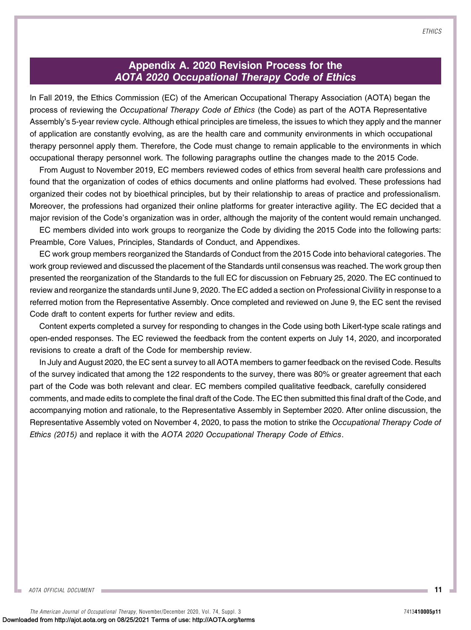# Appendix A. 2020 Revision Process for the AOTA 2020 Occupational Therapy Code of Ethics

In Fall 2019, the Ethics Commission (EC) of the American Occupational Therapy Association (AOTA) began the process of reviewing the Occupational Therapy Code of Ethics (the Code) as part of the AOTA Representative Assembly's 5-year review cycle. Although ethical principles are timeless, the issues to which they apply and the manner of application are constantly evolving, as are the health care and community environments in which occupational therapy personnel apply them. Therefore, the Code must change to remain applicable to the environments in which occupational therapy personnel work. The following paragraphs outline the changes made to the 2015 Code.

From August to November 2019, EC members reviewed codes of ethics from several health care professions and found that the organization of codes of ethics documents and online platforms had evolved. These professions had organized their codes not by bioethical principles, but by their relationship to areas of practice and professionalism. Moreover, the professions had organized their online platforms for greater interactive agility. The EC decided that a major revision of the Code's organization was in order, although the majority of the content would remain unchanged.

EC members divided into work groups to reorganize the Code by dividing the 2015 Code into the following parts: Preamble, Core Values, Principles, Standards of Conduct, and Appendixes.

EC work group members reorganized the Standards of Conduct from the 2015 Code into behavioral categories. The work group reviewed and discussed the placement of the Standards until consensus was reached. The work group then presented the reorganization of the Standards to the full EC for discussion on February 25, 2020. The EC continued to review and reorganize the standards until June 9, 2020. The EC added a section on Professional Civility in response to a referred motion from the Representative Assembly. Once completed and reviewed on June 9, the EC sent the revised Code draft to content experts for further review and edits.

Content experts completed a survey for responding to changes in the Code using both Likert-type scale ratings and open-ended responses. The EC reviewed the feedback from the content experts on July 14, 2020, and incorporated revisions to create a draft of the Code for membership review.

In July and August 2020, the EC sent a survey to all AOTA members to garner feedback on the revised Code. Results of the survey indicated that among the 122 respondents to the survey, there was 80% or greater agreement that each part of the Code was both relevant and clear. EC members compiled qualitative feedback, carefully considered comments, and made edits to complete the final draft of the Code. The EC then submitted this final draft of the Code, and accompanying motion and rationale, to the Representative Assembly in September 2020. After online discussion, the Representative Assembly voted on November 4, 2020, to pass the motion to strike the Occupational Therapy Code of Ethics (2015) and replace it with the AOTA 2020 Occupational Therapy Code of Ethics.

**ETHICS**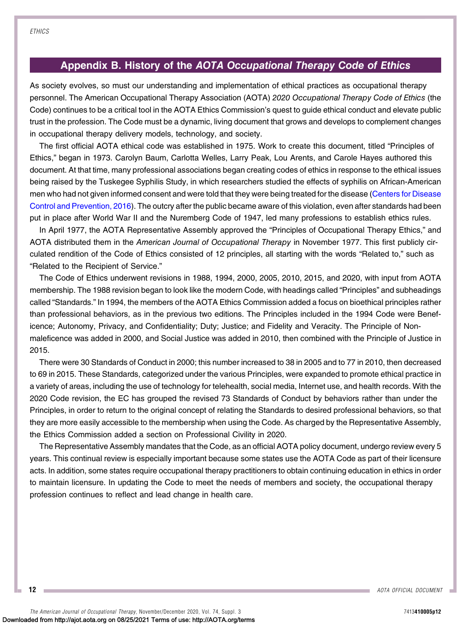# Appendix B. History of the AOTA Occupational Therapy Code of Ethics

As society evolves, so must our understanding and implementation of ethical practices as occupational therapy personnel. The American Occupational Therapy Association (AOTA) 2020 Occupational Therapy Code of Ethics (the Code) continues to be a critical tool in the AOTA Ethics Commission's quest to guide ethical conduct and elevate public trust in the profession. The Code must be a dynamic, living document that grows and develops to complement changes in occupational therapy delivery models, technology, and society.

The first official AOTA ethical code was established in 1975. Work to create this document, titled "Principles of Ethics," began in 1973. Carolyn Baum, Carlotta Welles, Larry Peak, Lou Arents, and Carole Hayes authored this document. At that time, many professional associations began creating codes of ethics in response to the ethical issues being raised by the Tuskegee Syphilis Study, in which researchers studied the effects of syphilis on African-American men who had not given informed consent and were told that they were being treated for the disease [\(Centers for Disease](#page-12-0) [Control and Prevention, 2016\)](#page-12-0). The outcry after the public became aware of this violation, even after standards had been put in place after World War II and the Nuremberg Code of 1947, led many professions to establish ethics rules.

In April 1977, the AOTA Representative Assembly approved the "Principles of Occupational Therapy Ethics," and AOTA distributed them in the American Journal of Occupational Therapy in November 1977. This first publicly circulated rendition of the Code of Ethics consisted of 12 principles, all starting with the words "Related to," such as "Related to the Recipient of Service."

The Code of Ethics underwent revisions in 1988, 1994, 2000, 2005, 2010, 2015, and 2020, with input from AOTA membership. The 1988 revision began to look like the modern Code, with headings called "Principles" and subheadings called "Standards." In 1994, the members of the AOTA Ethics Commission added a focus on bioethical principles rather than professional behaviors, as in the previous two editions. The Principles included in the 1994 Code were Beneficence; Autonomy, Privacy, and Confidentiality; Duty; Justice; and Fidelity and Veracity. The Principle of Nonmaleficence was added in 2000, and Social Justice was added in 2010, then combined with the Principle of Justice in 2015.

There were 30 Standards of Conduct in 2000; this number increased to 38 in 2005 and to 77 in 2010, then decreased to 69 in 2015. These Standards, categorized under the various Principles, were expanded to promote ethical practice in a variety of areas, including the use of technology for telehealth, social media, Internet use, and health records. With the 2020 Code revision, the EC has grouped the revised 73 Standards of Conduct by behaviors rather than under the Principles, in order to return to the original concept of relating the Standards to desired professional behaviors, so that they are more easily accessible to the membership when using the Code. As charged by the Representative Assembly, the Ethics Commission added a section on Professional Civility in 2020.

The Representative Assembly mandates that the Code, as an official AOTA policy document, undergo review every 5 years. This continual review is especially important because some states use the AOTA Code as part of their licensure acts. In addition, some states require occupational therapy practitioners to obtain continuing education in ethics in order to maintain licensure. In updating the Code to meet the needs of members and society, the occupational therapy profession continues to reflect and lead change in health care.